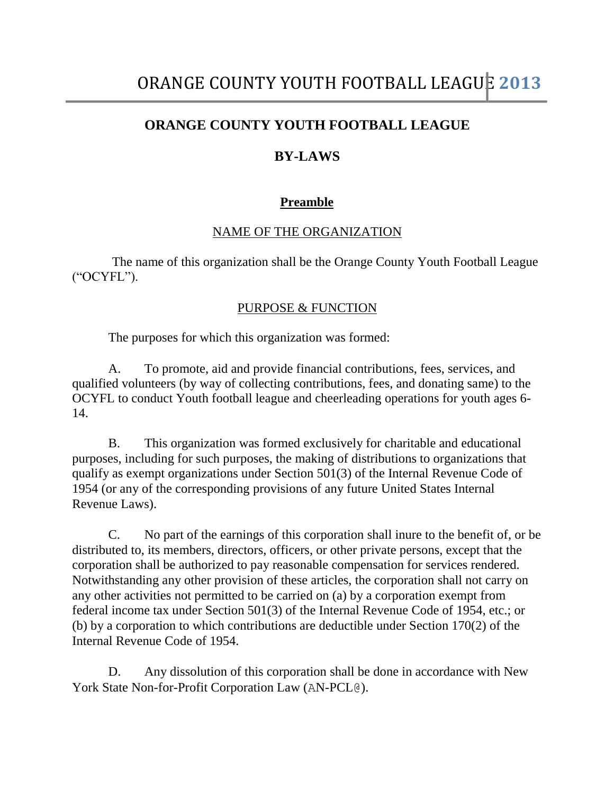# **ORANGE COUNTY YOUTH FOOTBALL LEAGUE**

# **BY-LAWS**

# **Preamble**

# NAME OF THE ORGANIZATION

The name of this organization shall be the Orange County Youth Football League ("OCYFL").

### PURPOSE & FUNCTION

The purposes for which this organization was formed:

A. To promote, aid and provide financial contributions, fees, services, and qualified volunteers (by way of collecting contributions, fees, and donating same) to the OCYFL to conduct Youth football league and cheerleading operations for youth ages 6- 14.

B. This organization was formed exclusively for charitable and educational purposes, including for such purposes, the making of distributions to organizations that qualify as exempt organizations under Section 501(3) of the Internal Revenue Code of 1954 (or any of the corresponding provisions of any future United States Internal Revenue Laws).

C. No part of the earnings of this corporation shall inure to the benefit of, or be distributed to, its members, directors, officers, or other private persons, except that the corporation shall be authorized to pay reasonable compensation for services rendered. Notwithstanding any other provision of these articles, the corporation shall not carry on any other activities not permitted to be carried on (a) by a corporation exempt from federal income tax under Section 501(3) of the Internal Revenue Code of 1954, etc.; or (b) by a corporation to which contributions are deductible under Section 170(2) of the Internal Revenue Code of 1954.

D. Any dissolution of this corporation shall be done in accordance with New York State Non-for-Profit Corporation Law (AN-PCL@).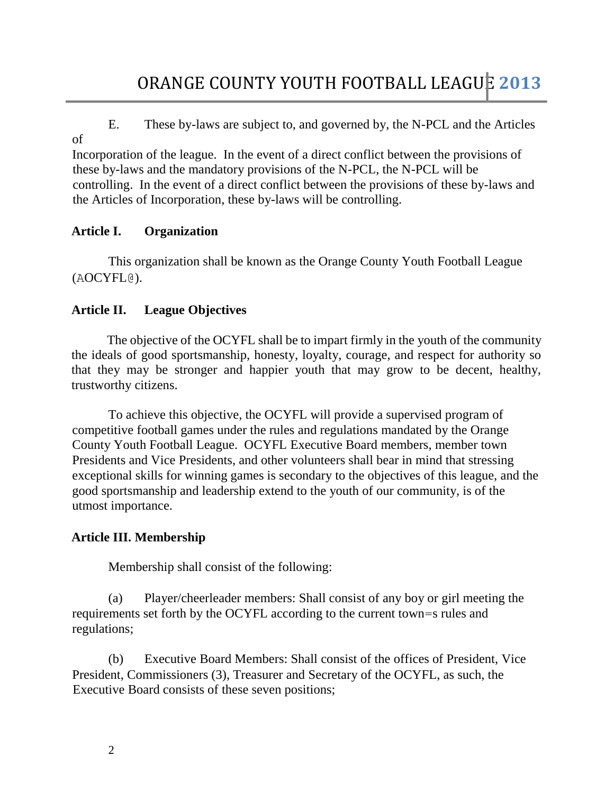E. These by-laws are subject to, and governed by, the N-PCL and the Articles of

Incorporation of the league. In the event of a direct conflict between the provisions of these by-laws and the mandatory provisions of the N-PCL, the N-PCL will be controlling. In the event of a direct conflict between the provisions of these by-laws and the Articles of Incorporation, these by-laws will be controlling.

# **Article I. Organization**

This organization shall be known as the Orange County Youth Football League (AOCYFL@).

# **Article II. League Objectives**

The objective of the OCYFL shall be to impart firmly in the youth of the community the ideals of good sportsmanship, honesty, loyalty, courage, and respect for authority so that they may be stronger and happier youth that may grow to be decent, healthy, trustworthy citizens.

To achieve this objective, the OCYFL will provide a supervised program of competitive football games under the rules and regulations mandated by the Orange County Youth Football League. OCYFL Executive Board members, member town Presidents and Vice Presidents, and other volunteers shall bear in mind that stressing exceptional skills for winning games is secondary to the objectives of this league, and the good sportsmanship and leadership extend to the youth of our community, is of the utmost importance.

# **Article III. Membership**

Membership shall consist of the following:

(a) Player/cheerleader members: Shall consist of any boy or girl meeting the requirements set forth by the OCYFL according to the current town=s rules and regulations;

(b) Executive Board Members: Shall consist of the offices of President, Vice President, Commissioners (3), Treasurer and Secretary of the OCYFL, as such, the Executive Board consists of these seven positions;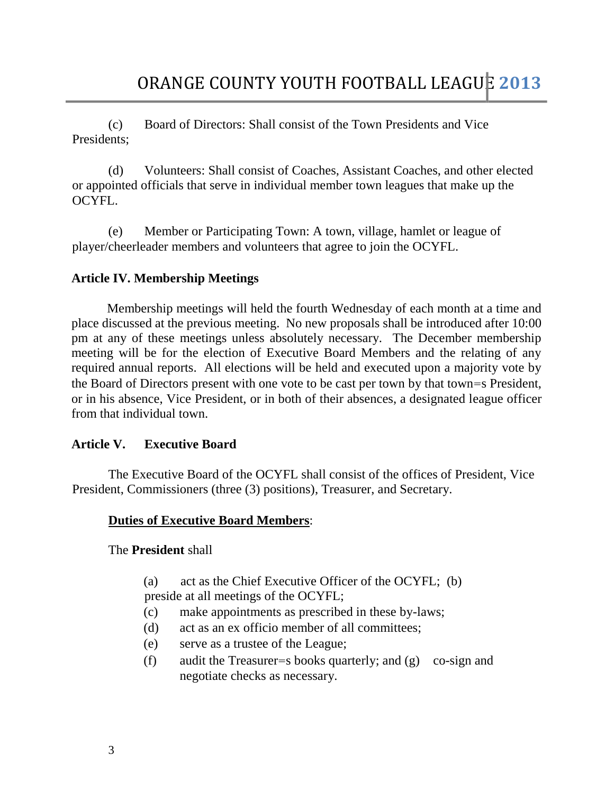(c) Board of Directors: Shall consist of the Town Presidents and Vice Presidents;

(d) Volunteers: Shall consist of Coaches, Assistant Coaches, and other elected or appointed officials that serve in individual member town leagues that make up the OCYFL.

(e) Member or Participating Town: A town, village, hamlet or league of player/cheerleader members and volunteers that agree to join the OCYFL.

### **Article IV. Membership Meetings**

Membership meetings will held the fourth Wednesday of each month at a time and place discussed at the previous meeting. No new proposals shall be introduced after 10:00 pm at any of these meetings unless absolutely necessary. The December membership meeting will be for the election of Executive Board Members and the relating of any required annual reports. All elections will be held and executed upon a majority vote by the Board of Directors present with one vote to be cast per town by that town=s President, or in his absence, Vice President, or in both of their absences, a designated league officer from that individual town.

# **Article V. Executive Board**

The Executive Board of the OCYFL shall consist of the offices of President, Vice President, Commissioners (three (3) positions), Treasurer, and Secretary.

# **Duties of Executive Board Members**:

The **President** shall

(a) act as the Chief Executive Officer of the OCYFL; (b) preside at all meetings of the OCYFL;

- (c) make appointments as prescribed in these by-laws;
- (d) act as an ex officio member of all committees;
- (e) serve as a trustee of the League;
- (f) audit the Treasurer=s books quarterly; and (g) co-sign and negotiate checks as necessary.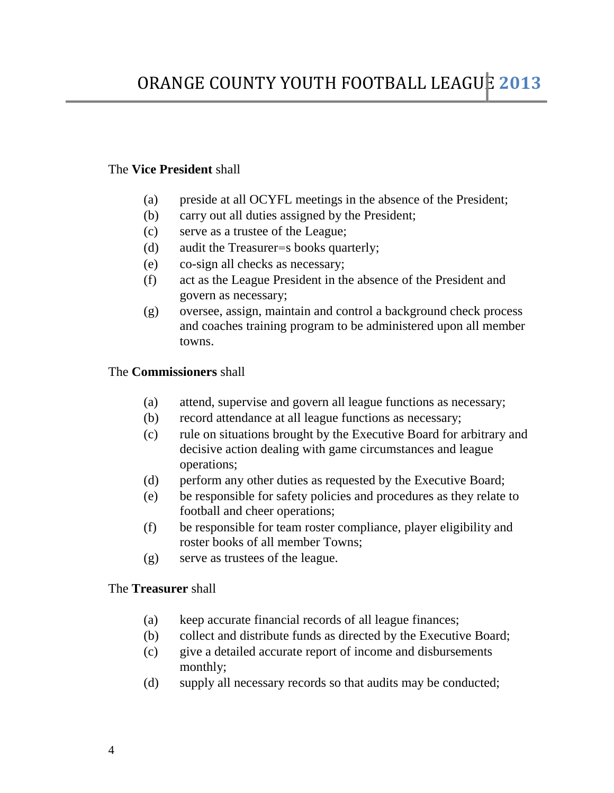### The **Vice President** shall

- (a) preside at all OCYFL meetings in the absence of the President;
- (b) carry out all duties assigned by the President;
- (c) serve as a trustee of the League;
- (d) audit the Treasurer=s books quarterly;
- (e) co-sign all checks as necessary;
- (f) act as the League President in the absence of the President and govern as necessary;
- (g) oversee, assign, maintain and control a background check process and coaches training program to be administered upon all member towns.

### The **Commissioners** shall

- (a) attend, supervise and govern all league functions as necessary;
- (b) record attendance at all league functions as necessary;
- (c) rule on situations brought by the Executive Board for arbitrary and decisive action dealing with game circumstances and league operations;
- (d) perform any other duties as requested by the Executive Board;
- (e) be responsible for safety policies and procedures as they relate to football and cheer operations;
- (f) be responsible for team roster compliance, player eligibility and roster books of all member Towns;
- (g) serve as trustees of the league.

### The **Treasurer** shall

- (a) keep accurate financial records of all league finances;
- (b) collect and distribute funds as directed by the Executive Board;
- (c) give a detailed accurate report of income and disbursements monthly;
- (d) supply all necessary records so that audits may be conducted;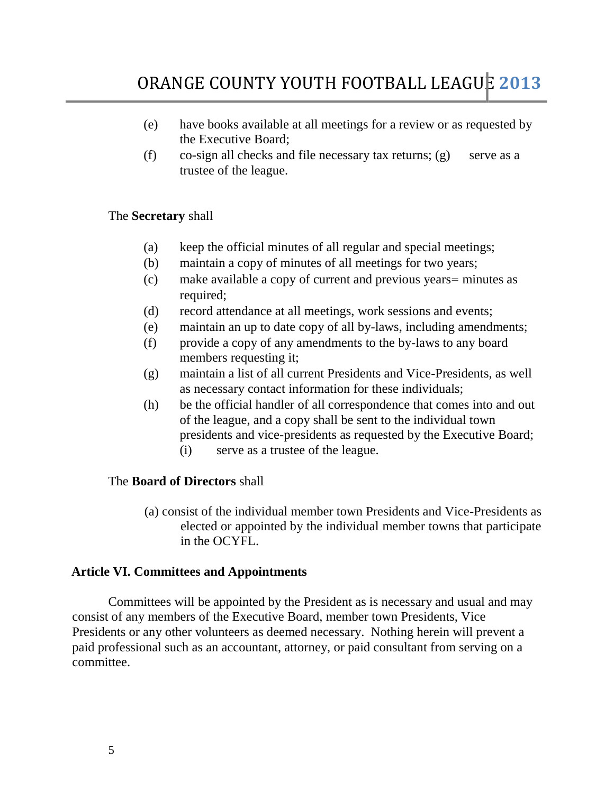# ORANGE COUNTY YOUTH FOOTBALL LEAGUE **2013**

- (e) have books available at all meetings for a review or as requested by the Executive Board;
- (f) co-sign all checks and file necessary tax returns; (g) serve as a trustee of the league.

#### The **Secretary** shall

- (a) keep the official minutes of all regular and special meetings;
- (b) maintain a copy of minutes of all meetings for two years;
- (c) make available a copy of current and previous years= minutes as required;
- (d) record attendance at all meetings, work sessions and events;
- (e) maintain an up to date copy of all by-laws, including amendments;
- (f) provide a copy of any amendments to the by-laws to any board members requesting it;
- (g) maintain a list of all current Presidents and Vice-Presidents, as well as necessary contact information for these individuals;
- (h) be the official handler of all correspondence that comes into and out of the league, and a copy shall be sent to the individual town presidents and vice-presidents as requested by the Executive Board;
	- (i) serve as a trustee of the league.

#### The **Board of Directors** shall

(a) consist of the individual member town Presidents and Vice-Presidents as elected or appointed by the individual member towns that participate in the OCYFL.

#### **Article VI. Committees and Appointments**

Committees will be appointed by the President as is necessary and usual and may consist of any members of the Executive Board, member town Presidents, Vice Presidents or any other volunteers as deemed necessary. Nothing herein will prevent a paid professional such as an accountant, attorney, or paid consultant from serving on a committee.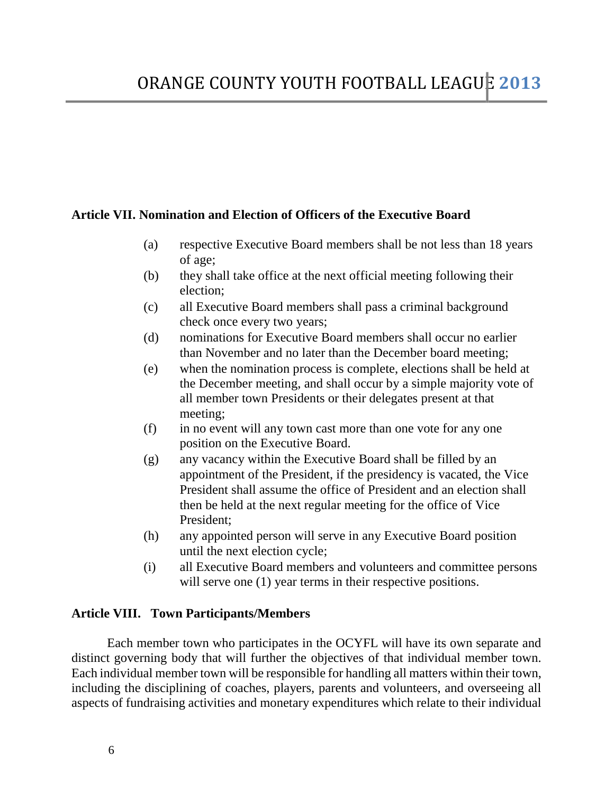### **Article VII. Nomination and Election of Officers of the Executive Board**

- (a) respective Executive Board members shall be not less than 18 years of age;
- (b) they shall take office at the next official meeting following their election;
- (c) all Executive Board members shall pass a criminal background check once every two years;
- (d) nominations for Executive Board members shall occur no earlier than November and no later than the December board meeting;
- (e) when the nomination process is complete, elections shall be held at the December meeting, and shall occur by a simple majority vote of all member town Presidents or their delegates present at that meeting;
- (f) in no event will any town cast more than one vote for any one position on the Executive Board.
- (g) any vacancy within the Executive Board shall be filled by an appointment of the President, if the presidency is vacated, the Vice President shall assume the office of President and an election shall then be held at the next regular meeting for the office of Vice President;
- (h) any appointed person will serve in any Executive Board position until the next election cycle;
- (i) all Executive Board members and volunteers and committee persons will serve one  $(1)$  year terms in their respective positions.

### **Article VIII. Town Participants/Members**

Each member town who participates in the OCYFL will have its own separate and distinct governing body that will further the objectives of that individual member town. Each individual member town will be responsible for handling all matters within their town, including the disciplining of coaches, players, parents and volunteers, and overseeing all aspects of fundraising activities and monetary expenditures which relate to their individual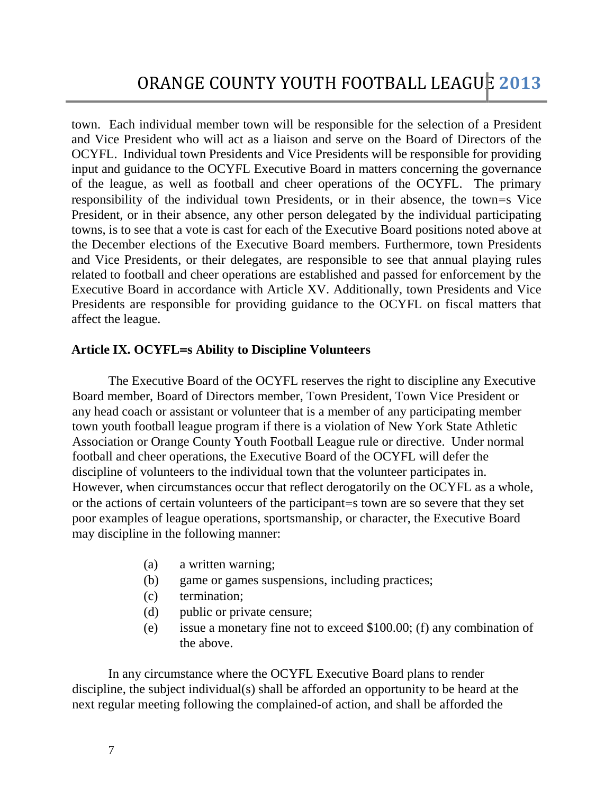town. Each individual member town will be responsible for the selection of a President and Vice President who will act as a liaison and serve on the Board of Directors of the OCYFL. Individual town Presidents and Vice Presidents will be responsible for providing input and guidance to the OCYFL Executive Board in matters concerning the governance of the league, as well as football and cheer operations of the OCYFL. The primary responsibility of the individual town Presidents, or in their absence, the town=s Vice President, or in their absence, any other person delegated by the individual participating towns, is to see that a vote is cast for each of the Executive Board positions noted above at the December elections of the Executive Board members. Furthermore, town Presidents and Vice Presidents, or their delegates, are responsible to see that annual playing rules related to football and cheer operations are established and passed for enforcement by the Executive Board in accordance with Article XV. Additionally, town Presidents and Vice Presidents are responsible for providing guidance to the OCYFL on fiscal matters that affect the league.

### **Article IX. OCYFL=s Ability to Discipline Volunteers**

The Executive Board of the OCYFL reserves the right to discipline any Executive Board member, Board of Directors member, Town President, Town Vice President or any head coach or assistant or volunteer that is a member of any participating member town youth football league program if there is a violation of New York State Athletic Association or Orange County Youth Football League rule or directive. Under normal football and cheer operations, the Executive Board of the OCYFL will defer the discipline of volunteers to the individual town that the volunteer participates in. However, when circumstances occur that reflect derogatorily on the OCYFL as a whole, or the actions of certain volunteers of the participant=s town are so severe that they set poor examples of league operations, sportsmanship, or character, the Executive Board may discipline in the following manner:

- (a) a written warning;
- (b) game or games suspensions, including practices;
- (c) termination;
- (d) public or private censure;
- (e) issue a monetary fine not to exceed \$100.00; (f) any combination of the above.

In any circumstance where the OCYFL Executive Board plans to render discipline, the subject individual(s) shall be afforded an opportunity to be heard at the next regular meeting following the complained-of action, and shall be afforded the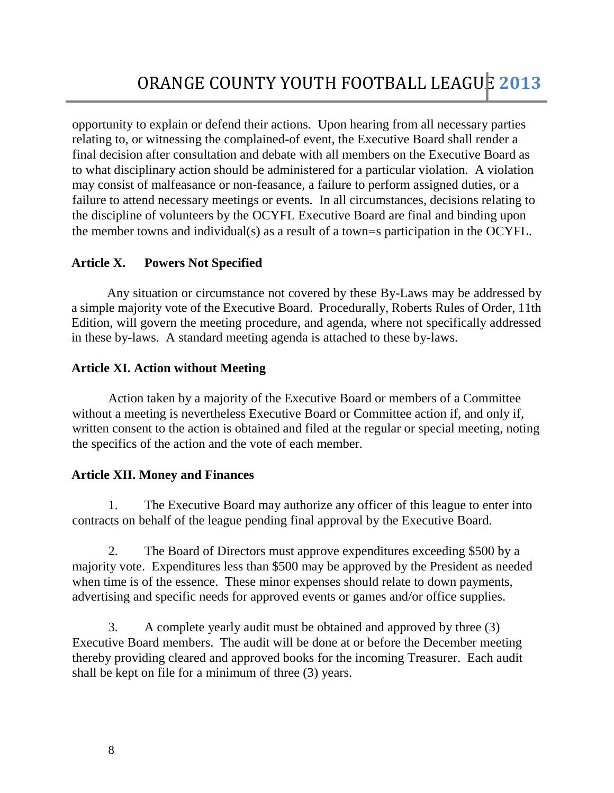opportunity to explain or defend their actions. Upon hearing from all necessary parties relating to, or witnessing the complained-of event, the Executive Board shall render a final decision after consultation and debate with all members on the Executive Board as to what disciplinary action should be administered for a particular violation. A violation may consist of malfeasance or non-feasance, a failure to perform assigned duties, or a failure to attend necessary meetings or events. In all circumstances, decisions relating to the discipline of volunteers by the OCYFL Executive Board are final and binding upon the member towns and individual(s) as a result of a town=s participation in the OCYFL.

# **Article X. Powers Not Specified**

Any situation or circumstance not covered by these By-Laws may be addressed by a simple majority vote of the Executive Board. Procedurally, Roberts Rules of Order, 11th Edition, will govern the meeting procedure, and agenda, where not specifically addressed in these by-laws. A standard meeting agenda is attached to these by-laws.

# **Article XI. Action without Meeting**

Action taken by a majority of the Executive Board or members of a Committee without a meeting is nevertheless Executive Board or Committee action if, and only if, written consent to the action is obtained and filed at the regular or special meeting, noting the specifics of the action and the vote of each member.

# **Article XII. Money and Finances**

1. The Executive Board may authorize any officer of this league to enter into contracts on behalf of the league pending final approval by the Executive Board.

2. The Board of Directors must approve expenditures exceeding \$500 by a majority vote. Expenditures less than \$500 may be approved by the President as needed when time is of the essence. These minor expenses should relate to down payments, advertising and specific needs for approved events or games and/or office supplies.

3. A complete yearly audit must be obtained and approved by three (3) Executive Board members. The audit will be done at or before the December meeting thereby providing cleared and approved books for the incoming Treasurer. Each audit shall be kept on file for a minimum of three (3) years.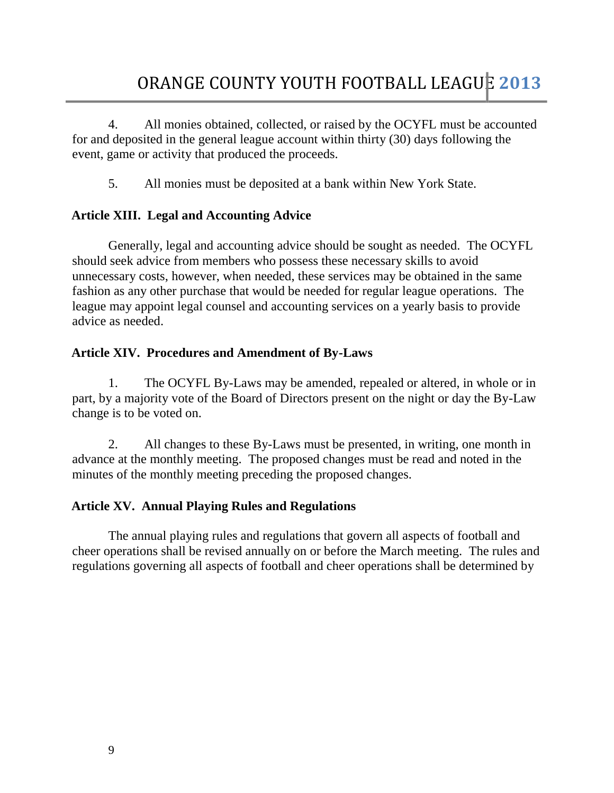4. All monies obtained, collected, or raised by the OCYFL must be accounted for and deposited in the general league account within thirty (30) days following the event, game or activity that produced the proceeds.

5. All monies must be deposited at a bank within New York State.

### **Article XIII. Legal and Accounting Advice**

Generally, legal and accounting advice should be sought as needed. The OCYFL should seek advice from members who possess these necessary skills to avoid unnecessary costs, however, when needed, these services may be obtained in the same fashion as any other purchase that would be needed for regular league operations. The league may appoint legal counsel and accounting services on a yearly basis to provide advice as needed.

### **Article XIV. Procedures and Amendment of By-Laws**

1. The OCYFL By-Laws may be amended, repealed or altered, in whole or in part, by a majority vote of the Board of Directors present on the night or day the By-Law change is to be voted on.

2. All changes to these By-Laws must be presented, in writing, one month in advance at the monthly meeting. The proposed changes must be read and noted in the minutes of the monthly meeting preceding the proposed changes.

# **Article XV. Annual Playing Rules and Regulations**

The annual playing rules and regulations that govern all aspects of football and cheer operations shall be revised annually on or before the March meeting. The rules and regulations governing all aspects of football and cheer operations shall be determined by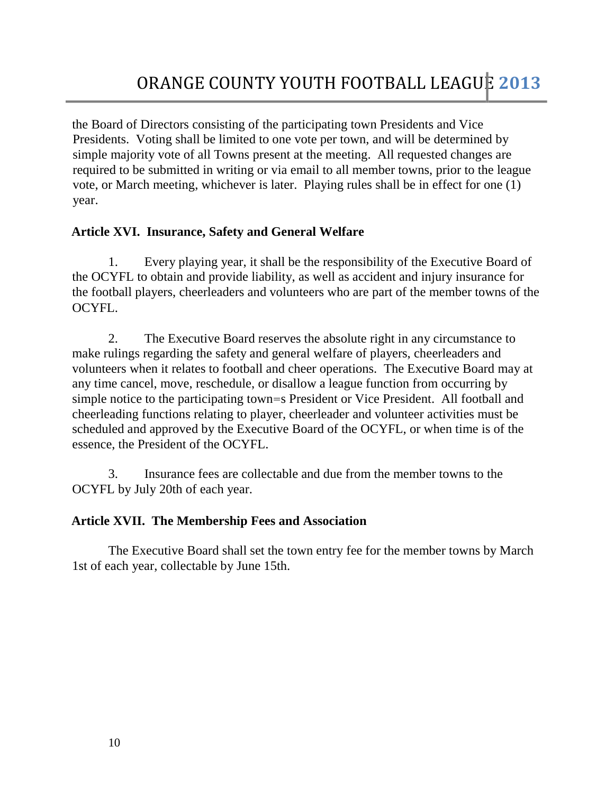the Board of Directors consisting of the participating town Presidents and Vice Presidents. Voting shall be limited to one vote per town, and will be determined by simple majority vote of all Towns present at the meeting. All requested changes are required to be submitted in writing or via email to all member towns, prior to the league vote, or March meeting, whichever is later. Playing rules shall be in effect for one (1) year.

# **Article XVI. Insurance, Safety and General Welfare**

1. Every playing year, it shall be the responsibility of the Executive Board of the OCYFL to obtain and provide liability, as well as accident and injury insurance for the football players, cheerleaders and volunteers who are part of the member towns of the OCYFL.

2. The Executive Board reserves the absolute right in any circumstance to make rulings regarding the safety and general welfare of players, cheerleaders and volunteers when it relates to football and cheer operations. The Executive Board may at any time cancel, move, reschedule, or disallow a league function from occurring by simple notice to the participating town=s President or Vice President. All football and cheerleading functions relating to player, cheerleader and volunteer activities must be scheduled and approved by the Executive Board of the OCYFL, or when time is of the essence, the President of the OCYFL.

3. Insurance fees are collectable and due from the member towns to the OCYFL by July 20th of each year.

# **Article XVII. The Membership Fees and Association**

The Executive Board shall set the town entry fee for the member towns by March 1st of each year, collectable by June 15th.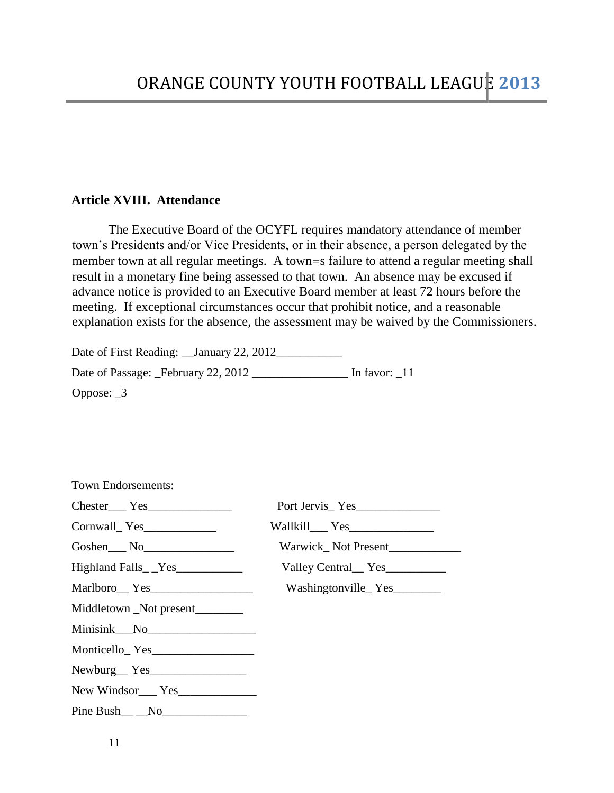### **Article XVIII. Attendance**

The Executive Board of the OCYFL requires mandatory attendance of member town's Presidents and/or Vice Presidents, or in their absence, a person delegated by the member town at all regular meetings. A town=s failure to attend a regular meeting shall result in a monetary fine being assessed to that town. An absence may be excused if advance notice is provided to an Executive Board member at least 72 hours before the meeting. If exceptional circumstances occur that prohibit notice, and a reasonable explanation exists for the absence, the assessment may be waived by the Commissioners.

Date of First Reading: \_\_January 22, 2012\_\_\_\_\_\_\_\_\_\_\_ Date of Passage: \_February 22, 2012 \_\_\_\_\_\_\_\_\_\_\_\_\_\_\_\_ In favor: \_11 Oppose: \_3

| <b>Town Endorsements:</b>                                                                                      |                                               |
|----------------------------------------------------------------------------------------------------------------|-----------------------------------------------|
| $\text{Chester}\_\text{res}\_\text{S}$                                                                         |                                               |
|                                                                                                                |                                               |
| $Goshen$ $No$ $\qquad \qquad$ $No$ $\qquad \qquad$ $\qquad \qquad$ $\qquad \qquad$ $No$ $\qquad \qquad \qquad$ |                                               |
|                                                                                                                | Valley Central <sub>___</sub> Yes____________ |
| Marlboro Yes                                                                                                   | Washingtonville_Yes__________                 |
| Middletown _Not present________                                                                                |                                               |
|                                                                                                                |                                               |
|                                                                                                                |                                               |
| Newburg Yes                                                                                                    |                                               |
| New Windsor<br>Yes <u>New Windsor</u>                                                                          |                                               |
|                                                                                                                |                                               |